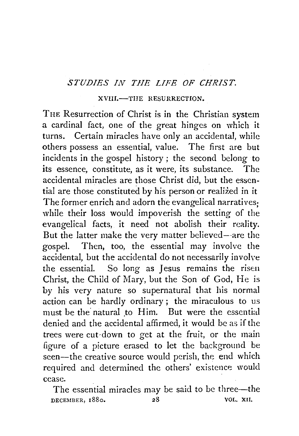## *STUDIES IN THE LIFE OF CHRIST.*

## XVIII.-THE RESURRECTION.

TnE Resurrection of Christ is in the Christian system a cardinal fact, one of the great hinges on which it turns. Certain miracles have only an accidental, while others possess an essential, value. The first are but incidents in the gospel history ; the second belong *to*  its essence, constitute, as it were, its substance. The accidental miracles are those Christ did, but the essential are those constituted by his person or realized in it The former enrich and adorn the evangelical narratives; while their loss would impoverish the setting of the evangelical facts, it need not abolish their reality. But the latter make the very matter believed- are the gospel. Then, too, the essential may involve the accidental, but the accidental do not necessarily involve the essential. So long as Jesus remains the risen Christ, the Child of Mary, but the Son of God, He is by his very nature so supernatural that his normal action can be hardly ordinary ; the miraculous to us must be the natural to Him. But were the essential denied and the accidental affirmed, it would be as if the trees were cut·down to get at the fruit, or the main figure of a picture erased to let the background be seen—the creative source would perish, the end which required and determined the others' existence would cease.

The essential miracles may be said to be three—the DECEMBER, 1880. 28 VOL. XII.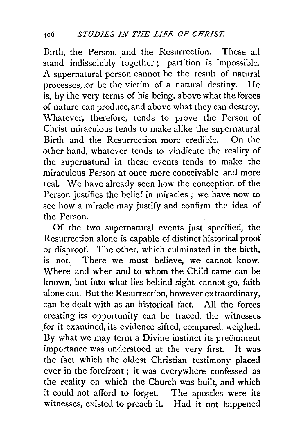Birth, the Person, and the Resurrection. These all stand indissolubly together ; partition is impossible. A supernatural person cannot be the result of natural processes, or be the victim of a natural destiny. He is, by the very terms of his being, above what the forces of nature can produce, and above what they can destroy. Whatever, therefore, tends to prove the Person of Christ miraculous tends to make alike the supernatural Birth and the Resurrection more credible. On the other hand, whatever tends to vindicate the reality of the supernatural in these events tends to make the miraculous Person at once more conceivable and more real. We have already seen how the conception of the Person justifies the belief in miracles ; we have now to see how a miracle may justify and confirm the idea of the Person.

Of the two supernatural events just specified, the Resurrection alone is capable of distinct historical proof or disproof. The other, which culminated in the birth, is not. There we must believe, we cannot know. Where and when and to whom the Child came can be known, but into what lies behind sight cannot go, faith alone can. But the Resurrection, however extraordinary, can be dealt with as an historical fact. All the forces creating its opportunity can be traced, the witnesses .for it examined, its evidence sifted, compared, weighed. By what we may term a Divine instinct its preeminent importance was understood at the very first. It was the fact which the oldest Christian testimony placed ever in the forefront ; it was everywhere confessed as the reality on which the Church was built, and which it could not afford to forget. The apostles were its witnesses, existed to preach it. Had it not happened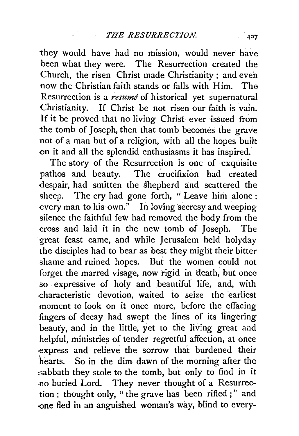they would have had no mission, would never have been what they were. The Resurrection created the Church, the risen Christ made Christianity; and even now the Christian faith stands or falls with Him. The Resurrection is a *resume* of historical yet supernatural Christianity. If Christ be not risen our faith is vain. If it be proved that no living Christ ever issued from the tomb of Joseph, then that tomb becomes the grave not of a man but of a religion, with all the hopes built <>n it and all the splendid enthusiasms it has inspired.

The story of the Resurrection is one of exquisite pathos and beauty. The crucifixion had created -despair, had smitten the shepherd and scattered the sheep. The cry had gone forth, "Leave him alone; every man to his own." In loving secresy and weeping silence the faithful few had removed the body from the -cross and laid it in the new tomb of 1oseph. The great feast came, and while Jerusalem held holyday the disciples had to bear as best they might their bitter shame and ruined hopes. But the women could not forget the marred visage, now rigid in death, but once so expressive of holy and beautiful life, and, with characteristic devotion, waited to seize the earliest moment to look on it once more, before the effacing fingers of decay had swept the lines of its lingering beauty, and in the little, yet to the living great and helpful, ministries of tender regretful affection, at once ·express and relieve the sorrow that burdened their hearts. So in the dim dawn of the morning after the :sabbath they stole to the tomb, but only to find in it .no buried Lord. They never thought of a Resurrection ; thought only, " the grave has been rifled ; " and -one fled in an anguished woman's way, blind to every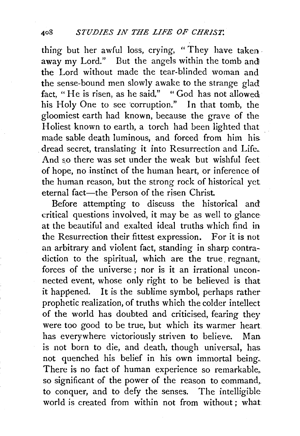thing but her awful loss, crying, "They have taken. away my Lord." But the angels within the tomb and! the Lord without made the tear-blinded woman and the sense-bound men slowly awake to the strange glad fact, "He is risen, as he said." "God has not allowed his Holy One to see corruption." In that tomb, the gloomiest earth had known, because the grave of the Holiest known to earth, a torch had been lighted that made sable death luminous, and forced from him his dread secret, translating it into Resurrection and Life. And so there was set under the weak but wishful feet of hope, no instinct of the human heart, or inference of the human reason, but the strong rock of historical yet eternal fact-the Person of the risen Christ.

Before attempting to discuss the historical and critical questions involved, it may be as well to glance· at the beautiful and exalted ideal truths which find in the Resurrection their fittest expression. For it is not an arbitrary and violent fact, standing in sharp contradiction to the spiritual, which are the true regnant, forces of the universe ; nor is it an irrational unconnected event, whose only right to be believed is that it happened. It is the sublime symbol, perhaps rather prophetic realization, of truths which the colder intellect of the world has doubted and criticised, fearing they were too good to be true, but which its warmer heart has everywhere victoriously striven to believe. Man. is not born to die, and death, though universal, has. not quenched his belief in his own immortal being. There is no fact of human experience so remarkable,. so significant of the power of the reason to command, to conquer, and to defy the senses. The intelligible world is created from within not from without ; what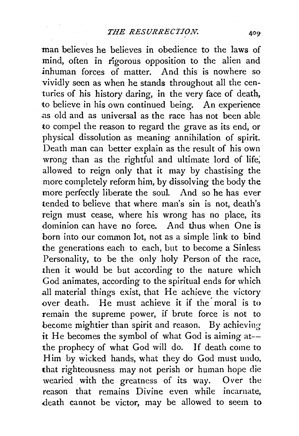man believes he believes in obedience to the laws of mind, often in rigorous opposition to the alien and<br>inhuman forces of matter. And this is nowhere so  $\frac{1}{\pi}$ inhuman forces of matter. vividly seen as when he stands throughout all the centuries of his history daring, in the very face of death, to believe in his own continued being. An experience .as old and as universal as the race has not been able to compel the reason to regard the grave as its end, or physical dissolution as meaning annihilation of spirit. Death man can better explain as the result of his own wrong than as the rightful and ultimate lord of life; allowed to reign only that it may by chastising the more completely reform him, by dissolving the body the more perfectly liberate the soul. And so he has ever tended to believe that where man's sin is not, death's reign must cease, where his wrong has no place, its dominion can have no force. And thus when One is born into our common lot, not as a simple link to bind the generations each to each, but to become a Sinless Personality, to be the only holy Person of the race, then it would be but according to the nature which God animates, according to the spiritual ends for which all material things exist, that He achieve the victory over death. He must achieve it if the moral is to remain the supreme power, if brute force is not to become mightier than spirit and reason. By achieving*it* He becomes the symbol of what God is aiming at- the prophecy of what God will do. If death come to Him by wicked hands, what they do God must undo. that righteousness may not perish or human hope die wearied with the greatness of its way. Over the reason that remains Divine even while incarnate, .death cannot be victor, may be allowed to seem to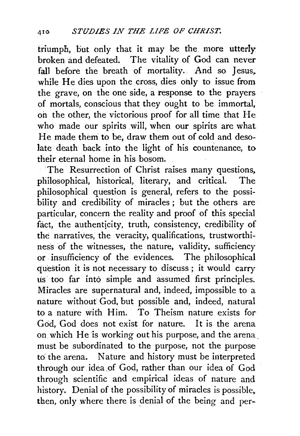triumph, but only that it may be the more utterly broken and defeated. The vitality of God can never fall before the breath of mortality. And so Jesus, while He dies upon the cross, dies only to issue from the grave, on the one side, a response to the prayers. of mortals, conscious that they ought to be immortal, on the other, the victorious proof for all time that He. who made our spirits will, when our spirits are what He made them to be, draw them out of cold and desolate death back into the light of his countenance, to their eternal home in his bosom.

The Resurrection of Christ raises many questions, philosophical, historical, literary, and critical. The philosophical question is general, refers to the possibility and credibility of miracles; but the others are particular, concern the reality and proof of this special fact, the authenticity, truth, consistency, credibility of the narratives, the veracity, qualifications, trustworthiness of the witnesses, the nature, validity, sufficiency or insufficiency of the evidences. The philosophical question it is not necessary to discuss; it would carry us too far into simple and assumed first principles. Miracles are supernatural and, indeed, impossible to a nature without God, but possible and, indeed, natural to a nature with Him. To Theism nature exists for God, God does not exist for nature. It is the arena on which He is working out his purpose, and the arena\_ must be subordinated to the purpose, not the purpose to the arena. Nature and history must be interpreted through our idea of God, rather than our idea of God through scientific and empirical ideas of nature and history. Denial of the possibility of miracles is possible, then, only where there is denial of the being and per-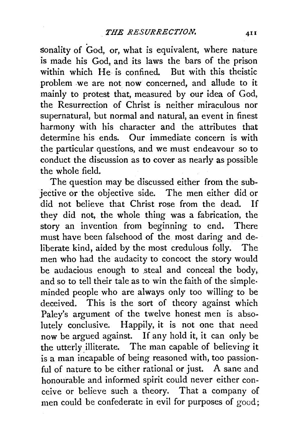sonality of God, or, what is equivalent, where nature is made his God, and its laws the bars of the prison within which He is confined. But with this theistic problem .we are not now concerned, and allude to it mainly to protest that, measured by our idea of God, the Resurrection of Christ is neither miraculous nor supernatural, but normal and natural, an event in finest harmony with his character and the attributes that determine his ends. Our immediate concern is with the particular questions, and we must endeavour so to conduct the discussion as to cover as nearly as possible the whole field.

The question may be discussed either from the subjective or the objective side. The men either did or did not believe that Christ rose from the dead. If they did not, the whole thing was a fabrication, the story an invention from beginning to end. There must have been falsehood of the most daring and deliberate kind, aided by the most credulous folly. The men who had the audacity to concoct the story would be audacious enough to steal and conceal the body, and so to tell their tale as to win the faith of the simple· minded people who are always only too willing to be deceived. This is the sort of theory against which Paley's argument of the twelve honest men is absolutely conclusive. Happily, it is not one that need now be argued against. If any hold it, it can only be the utterly illiterate. The man capable of believing it is a man incapable of being reasoned with, too passionful of nature to be either rational or just. A sane and honourable and informed spirit could never either conceive or believe such a theory. That a company of men could be confederate in evil for purposes of  $good;$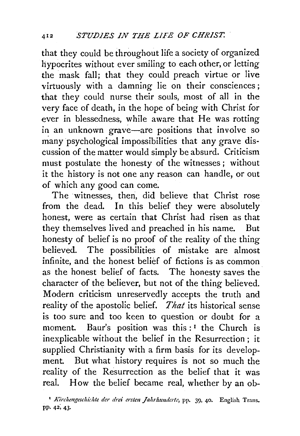that they could be throughout life a society of organized hypocrites without ever smiling to each other, or letting the mask fall; that they could preach virtue or live virtuously with a damning lie on their consciences; that they could nurse their souls, most of all in the very face of death, in the hope of being with Christ for ever in blessedness, while aware that He was rotting in an unknown grave-are positions that involve so many psychological impossibilities that any grave discussion of the matter would simply be absurd. Criticism must postulate the honesty of the witnesses; without it the history is not one any reason can handle, or out of which any good can come.

The witnesses, then, did believe that Christ rose from the dead. In this belief they were absolutely honest, were as certain that Christ had risen as that they themselves lived and preached in his name. But honesty of belief is no proof of the reality of the thing believed. The possibilities of mistake are almost infinite, and the honest belief of fictions is as common as the honest belief of facts. The honesty saves the character of the believer, but not of the thing believed. Modern criticism unreservedly accepts the truth and reality of the apostolic belief. *That* its historical sense is too sure and too keen to question or doubt for a moment. Baur's position was this:<sup>1</sup> the Church is inexplicable without the belief in the Resurrection ; it supplied Christianity with a firm basis for its development. But what history requires is not so much the reality of the Resurrection as the belief that it was real. How the belief became real, whether by an ob-

<sup>&</sup>lt;sup>1</sup> Kirchengeschichte der drei ersten Jahrhunderte, pp. 39, 40. English Trans. PP· 42; 43·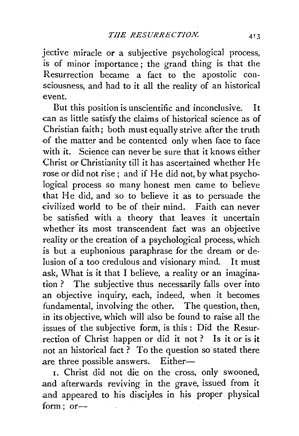jective miracle or a subjective psychological process, is of minor importance ; the grand thing is that the Resurrection became a fact to the apostolic consciousness, and had to it all the reality of an historical event.

But this position is unscientific and inconclusive. It can as little satisfy the claims of historical science as of Christian faith; both must equally strive after the truth of the matter and be contented only when face to face with it. Science can never be sure that it knows either Christ or Christianity till it has ascertained whether He rose or did not rise ; and if He did not, by what psychological process so many honest men came to believe that He did, and so to believe it as to persuade the civilized world to be of their mind. Faith can never be satisfied with a theory that leaves it uncertain whether its most transcendent fact was an objective reality or the creation of a psychological process, which is but a euphonious paraphrase for the dream or delusion of a too credulous and visionary mind. It must ask, What is it that I believe, a reality or an imagination ? The subjective thus necessarily falls over into an objective inquiry, each, indeed, when it becomes fundamental, involving the other. The question, then, in its objective, which will also be found to raise all the issues of the subjective form, is this : Did the Resurrection of Christ happen or did it not ? Is it or is it not an historical fact? To the question so stated there are three possible answers. Either-

!. Christ did not die on the cross, only swooned, and afterwards reviving in the grave, issued from it and appeared to his disciples in his proper physical  $form: or-$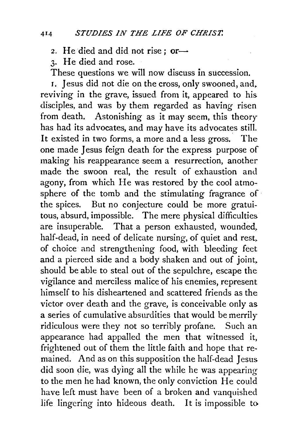2. He died and did not rise ; or-

3· He died and rose.

These questions we will now discuss in succession.

r. Jesus did not die on the cross, only swooned, and. reviving in the grave, issued from it, appeared to his disciples, and was by them regarded as having risen from death. Astonishing as it may seem, this theory has had its advocates, and may have its advocates still. It existed in two forms, a more and a less gross. The one made Jesus feign death for the express purpose of making his reappearance seem a resurrection, another made the swoon real, the result of exhaustion and agony, from which He was restored by the cool atmosphere of the tomb and the stimulating fragrance of· the spices. But no conjecture could be more gratuitous, absurd, impossible. The mere physical difficulties are insuperable. That a person exhausted, wounded, half-dead, in need of delicate nursing, of quiet and rest, of choice and strengthening food, with bleeding feet and a pierced side and a body shaken and out of joint. should be able to steal out of the sepulchre, escape the vigilance and merciless malice of his enemies, represent himself to his disheartened and scattered friends as the victor over death and the grave, is conceivable only as a series of cumulative absurdities that would be merrily ridiculous were they not so terribly profane. Such an appearance had appalled the men that witnessed it, frightened out of them the little faith and hope that remained. And as on this supposition the half-dead Jesus did soon die, was dying all the while he was appearing to the men he had known, the only conviction He could have left must have been of a broken and vanquished life lingering into hideous death. It is impossible to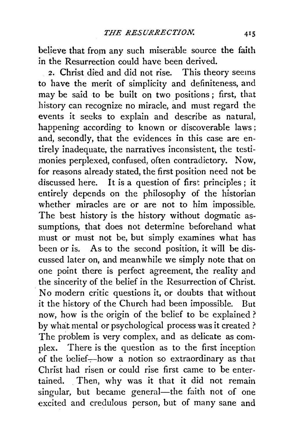believe that from any such miserable source the faith in the Resurrection could have been derived.

2. Christ died and did not rise. This theory seems to have the merit of simplicity and definiteness, and may be said to be built on two positions; first, that history can recognize no miracle, and must regard the events it seeks to explain and describe as natural, happening according to known or discoverable laws ; and, secondly, that the evidences in this case are entirely inadequate, the narratives inconsistent, the testimonies perplexed, confused, often contradictory. Now, for reasons already stated, the first position need not be discussed here. It is a question of first principles; it entirely depends on the philosophy of the historian whether miracles are or are not to him impossible. The best history is the history without dogmatic assumptions, that does not determine beforehand what must or must not be, but simply examines what has been or is. As to the second position, it will be discussed later on, and meanwhile we simply note that on one point there is perfect agreement, the reality and the sincerity of the belief in the Resurrection of Christ. No modern critic questions it, or doubts that without it the hictory of the Church had been impossible. But now, how is the origin of the belief to be explained ? by what mental or psychological process was it created ? The problem is very complex, and as delicate as complex. There is the question as to the first inception of the belief-how a notion so extraordinary as that Christ had risen or could rise first came to be entertained. Then, why was it that it did not remain singular, but became general-the faith not of one excited and credulous person, but of many sane and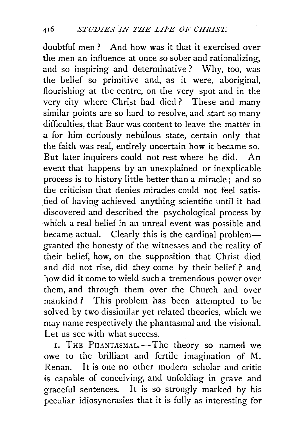doubtful men? And how was it that it exercised over the men an influence at once so sober and rationalizing, and so inspiring and determinative? Why, too, was the belief so primitive and, as it were, aboriginal, flourishing at the centre, on the very spot and in the very city where Christ had died ? These and many similar points are so hard to resolve, and start so many difficulties, that Baur was content to leave the matter in a for him curiously nebulous state, certain only that the faith was real, entirely uncertain how it became so. But later inquirers could not rest where he did. An event that happens by an unexplained or inexplicable process is to history little better than a miracle ; and so the criticism that denies miracles could not feel satis fied of having achieved anything scientific until it had discovered and described the psychological process by which a real belief in an unreal event was possible and became actual. Clearly this is the cardinal problem granted the honesty of the witnesses and the reality of their belief, how, on the supposition that Christ died and did not rise, did they come by their belief ? and how did it come to wield such a tremendous power over them, and through them over the Church and over mankind ? This problem has been attempted to be solved by two dissimilar yet related theories, which we may name respectively the phantasmal and the visional. Let us see with what success.

I. THE PHANTASMAL. -- The theory so named we owe to the brilliant and fertile imagination of M. Renan. It is one no other modern scholar and critic is capable of conceiving, and unfolding in grave and graceful sentences. It is so strongly marked by his peculiar idiosyncrasies that it is fully as interesting for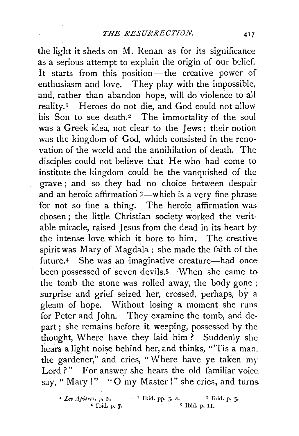the light it sheds on M. Renan as for its significance as a serious attempt to explain the origin of our belief. It starts from this position—the creative power of enthusiasm and love. They play with the impossible, and, rather than abandon hope, will do violence to all reality.<sup>1</sup> Heroes do not die, and God could not allow his Son to see death.<sup>2</sup> The immortality of the soul was a Greek idea, not clear to the Jews ; their notion was the kingdom of God, which consisted in the renovation of the world and the annihilation of death. The disciples could not believe that He who had come to institute the kingdom could be the vanquished of the grave ; and so they had no choice between despair and an heroic affirmation  $3$ —which is a very fine phrase for not so fine a thing. The heroic affirmation was chosen ; the little Christian society worked the veritable miracle, raised Jesus from the dead in its heart by the intense love which it bore to him. The creative spirit was Mary of Magdala; she made the faith of the future.4 She was an imaginative creature—had once been possessed of seven devils.<sup>5</sup> When she came to the tomb the stone was rolled away, the body gone; surprise and grief seized her, crossed, perhaps, by a gleam of hope. Without losing a moment she runs for Peter and John. They examine the tomb, and depart; she remains before it weeping, possessed by the thought, Where have they laid him? Suddenly she hears a light noise behind her, and thinks, "Tis a man, the gardener," and cries, "Where have ye taken my Lord ?" For answer she hears the old familiar voice say, " Mary !" "O my Master !" she cries, and turns.

*Les Apotres, p. 2.*  $\cdot$  <sup>2</sup> Ibid. pp. 3, 4. <sup>3</sup> Ibid. p. 5.<br>
4 Ibid. p. 7. <sup>5</sup> Ibid. p. 11.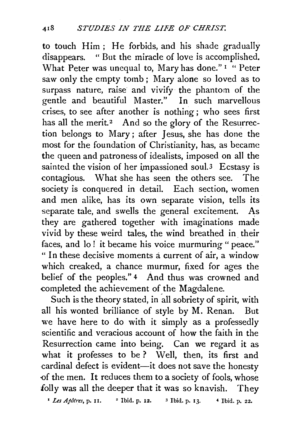to touch Him ; He forbids, and his shade gradually disappears. "But the miracle of love is accomplished. What Peter was unequal to, Mary has done."<sup>1</sup> "Peter saw only the empty tomb; Mary alone so loved as to surpass nature, raise and vivify the phantom of the gentle and beautiful Master." In such marvellous crises, to see after another is nothing; who sees first has all the merit.<sup>2</sup> And so the glory of the Resurrection belongs to Mary ; after Jesus, she has done the most for the foundation of Christianity, has, as became the queen and patroness of idealists, imposed on all the sainted the vision of her impassioned soul.<sup>3</sup> Ecstasy is contagious. What she has seen the others see. The society is conquered in detail. Each section, women and men alike, has its own separate vision, tells its separate tale, and swells the general excitement. As they are gathered together with imaginations made vivid by these weird tales, the wind breathed in their faces, and lo! it became his voice murmuring " peace." " In these decisive moments a current of air, a window which creaked, a chance murmur, fixed for ages the belief of the peoples." 4 And thus was crowned and completed the achievement of the Magdalene.

Such is the theory stated, in all sobriety of spirit, with all his wonted brilliance of style by M. Renan. But we have here to do with it simply as a professedly scientific and veracious account of how the faith in the Resurrection came into being. Can we regard it as what it professes to be ? Well, then, its first and cardinal defect is evident-it does not save the honesty -of the men. It reduces them to a society of fools, whose folly was all the deeper that it was so knavish. They

<sup>1</sup> *Les Apôtres*, p. 11. <sup>2</sup> Ibid. p. 12. <sup>3</sup> Ibid. p. 13. <sup>4</sup> Ibid. p. 22.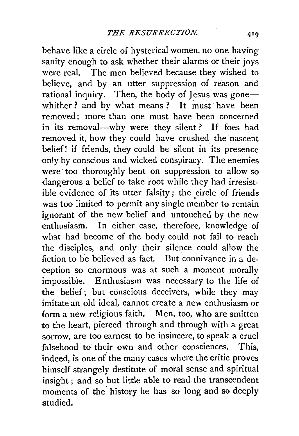behave like a circle of hysterical women, no one having sanity enough to ask whether their alarms or their joys were real. The men believed because they wished to believe, and by an utter suppression of reason and rational inquiry. Then, the body of Iesus was gonewhither? and by what means? It must have been removed; more than one must have been concerned in its removal—why were they silent? If foes had removed it, how they could have crushed the nascent belief! if friends, they could be silent in its presence only by conscious and wicked conspiracy. The enemies were too thoroughly bent on suppression to allow so dangerous a belief to take root while they had irresistible evidence of its utter falsity ; the circle of friends was too limited to permit any single member to remain ignorant of the new belief and untouched by the new enthusiasm. In either case, therefore, knowledge of what had become of the body could not fail to reach the disciples, and only their silence could allow the fiction to be believed as fact. But connivance in a deception so enormous was at such a moment morally impossible. Enthusiasm was necessary to the life of the belief; but conscious deceivers, while they may imitate an old ideal, cannot create a new enthusiasm or form a new religious faith. Men, too, who are smitten to the heart, pierced through and through with a great sorrow, are too earnest to be insincere, to speak a cruel falsehood to their own and other consciences. This indeed, is one of the many cases where the critic proves himself strangely destitute of moral sense and spiritual insight ; and so but little able to read the transcendent moments of the' history he has so long and so deeply studied.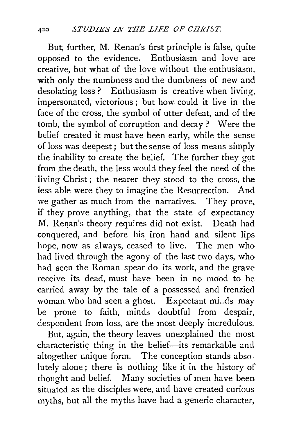But, further, M. Renan's first principle is false, quite opposed to the evidence. Enthusiasm and love are creative, but what of the love without the enthusiasm, with only the numbness and the dumbness of new and desolating loss? Enthusiasm is creative when living, impersonated, victorious ; but how could it live in the face of the cross, the symbol of utter defeat, and of the tomb, the symbol of corruption and decay ? Were the belief created it must have been early, while the sense of loss was deepest; but the sense of loss means simply the inability to create the belief. The further they got from the death, the less would they feel the need of the living Christ ; the nearer they stood to the cross; the less able were they to imagine the Resurrection. And we gather as much from the narratives. They prove, if they prove anything, that the state of expectancy M. Renan's theory requires did not exist. Death had conquered, and before his iron hand and silent lips hope, now as always, ceased to live. The men who had lived through the agony of the last two days, who had seen the Roman spear do its work, and the grave receive its dead, must have been in no mood to be carried away by the tale of a possessed and frenzied woman who had seen a ghost. Expectant mi..ds may be prone to faith, minds doubtful from despair, despondent from loss, are the most deeply incredulous.

But, again, the theory leaves unexplained the most characteristic thing in the belief-its remarkable and altogether unique form. The conception stands absolutely alone; there is nothing like it in the history of thought and belief. Many societies of men have been situated as the disciples were, and have created curious myths, but all the myths have had a generic character,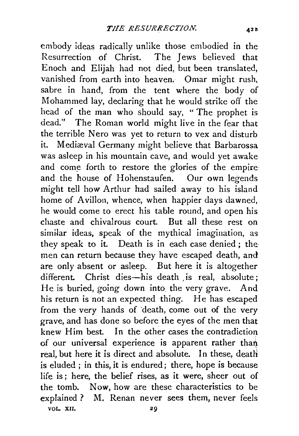embody ideas radically unlike those embodied in the Resurrection of Christ. The Jews believed that Enoch and Elijah had not died, but been translated, vanished from earth into heaven. Omar might rush, sabre in hand, from the tent where the body of Mohammed lay, declaring that he would strike off the head of the man who should say, " The prophet is dead." The Roman world might live in the fear that the terrible Nero was yet to return to vex and disturb it. Mediæval Germany might believe that Barbarossa was asleep in his mountain cave, and would yet awake and come forth to restore the glories of the empire: and the house of Hohenstaufen. Our own legends might tell how Arthur had sailed away to his island home of Avillon, whence, when happier days dawned. he would come to erect his table round, and open his chaste and chivalrous court. But all these rest on similar ideas, speak of the mythical imagination, as they speak to it. Death is in each case denied; the men can return because they have escaped death, and are only absent or asleep. But here it is altogether different. Christ dies-his death is real, absolute: He is buried, going down into the very grave. And his return is not an expected thing. He has escaped from the very hands of death, come out of the very grave, and has done so before the eyes of the men that knew Him best. In the other cases the contradiction of our universal experience is apparent rather than real, but here it is direct and absolute. In these, death is eluded ; in this, it is endured; there, hope is because life is; here, the belief rises, as it were, sheer out of the tomb. Now, how are these characteristics to be explained ? M. Renan never sees them, never feels VOL. XII. 29

42 h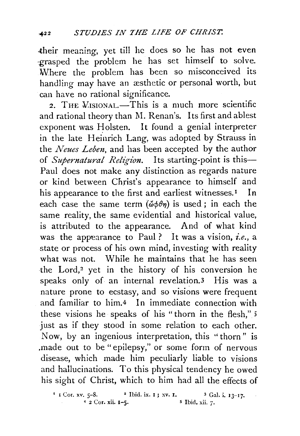their meaning, yet till he does so he has not even -grasped the problem he has set himself to solve. Where the problem has been so misconceived its handling may have an æsthetic or personal worth, but can have no rational significance.

2. THE *VISIONAL*.—This is a much more scientific and rational theory than M. Renan's. Its first and ablest exponent was Holsten. It found a genial interpreter in the late Heinrich Lang, was adopted by Strauss in the *Neues Leben,* and has been accepted by the author of *Supernatural Religion*. Its starting-point is this-Paul does not make any distinction as regards nature or kind between Christ's appearance to himself and his appearance to the first and earliest witnesses.<sup>1</sup> In each case the same term  $(\check{\omega}\phi\theta\eta)$  is used; in each the same reality, the same evidential and historical value, is attributed to the appearance. And of what kind was the appearance to Paul? It was a vision, *i.e.,* a state or process of his own mind, investing with reality what was not. While he maintains that he has seen the Lord,<sup>2</sup> yet in the history of his conversion he speaks only of an internal revelation.3 His was a nature prone to ecstasy, and so visions were frequent and familiar to him.4 In immediate connection with these visions he speaks of his " thorn in the flesh," 5 just as if they stood in some relation to each other. Now, by an ingenious interpretation, this "thorn" is ,made out to be "epilepsy," or some form of nervous disease, which made him peculiarly liable to visions and hallucinations. To this physical tendency he owed his sight of Christ, which to him had all the effects of

I I Cor. xv. 5-8. 2 Ibid. ix. I ; xv. I. 3 Gal. i.  $13-17$ .<br>4 2 Cor. xii. I-5. 5 Ibid. xii. 7.  $4\overline{2}$  Cor. xii. 1-5.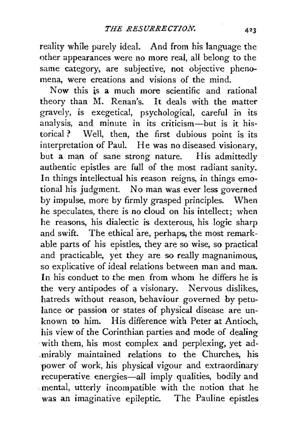reality while purely ideal. And from his language the other appearances were no more real, all belong to the same category, are subjective, not objective phenomena, were creations and visions of the mind.

Now this is a much more scientific and rational theory than M. Renan's. It deals with the matter gravely, is exegetical, psychological, careful in its analysis, and minute in its criticism-but is it historical *?* Well, then, the first dubious point is its interpretation of Paul. He was no diseased visionary, but a man of sane strong nature. His admittedly authentic epistles are full of the most radiant sanity. In things intellectual his reason reigns, in things emotional his judgment. No man was ever less governed by impulse, more by firmly grasped principles. When he speculates, there is no cloud on his intellect; when he reasons, his dialectic is dexterous, his logic sharp and swift. The ethical are, perhaps, the most remarkable parts of his epistles, they are so wise, so practical and practicable, yet they are so really magnanimous, so explicative of ideal relations between man and man. In his conduct to the men from whom he differs he is the very antipodes of a visionary. Nervous dislikes, hatreds without reason, behaviour governed by petulance or passion or states of physical disease are unknown to him. His difference with Peter at Antioch, his view of the Corinthian parties and mode of dealing with them, his most complex and perplexing, yet ad-. mirably maintained relations to the Churches, his power of work, his physical vigour and extraordinary recuperative energies-all imply qualities, bodily and mental, utterly incompatible with the notion that he was an imaginative epileptic. The Pauline epistles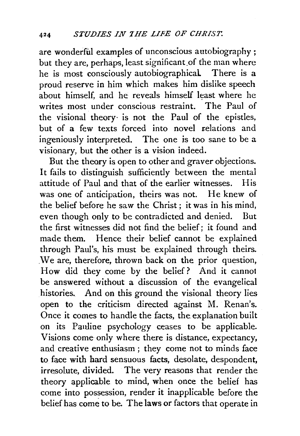are wonderful examples of unconscious autobiography ; but they are, perhaps, least significant of the man where he is most consciously autobiographical There is a proud reserve in him which makes him dislike speech about himself, and he reveals himself least where he writes most under conscious restraint. The Paul of the visional theory· is not the Paul of the epistles, but of a few texts forced into novel relations and ingeniously interpreted. The one is too sane to be a visionary, but the other is a vision indeed.

But the theory is open to other and graver objections. It fails to distinguish sufficiently between the mental attitude of Paul and that of the earlier witnesses. His was one of anticipation, theirs was not. He knew of the belief before he saw the Christ; it was in his mind, even though only to be contradicted and denied. But the first witnesses. did not find the belief; it found and made them. Hence their belief cannot be explained through Paul's, his must be explained through theirs. *. 'Ne* are, therefore, thrown back on the prior question, How did they come by the belief? And it cannot be answered without a discussion of the evangelical histories. And on this ground the visional theory lies open to the criticism directed against M. Renan's. Once it comes to handle the facts, the explanation built on its Panline psychology ceases to be applicable. Visions come only where there is distance, expectancy, and creative enthusiasm; they come not to minds face to face with hard sensuous facts, desolate, despondent, irresolute, divided. The very reasons that render the theory applicable to mind, when once the belief has come into possession, render it inapplicable before the belief has come to be. The laws or factors that operate in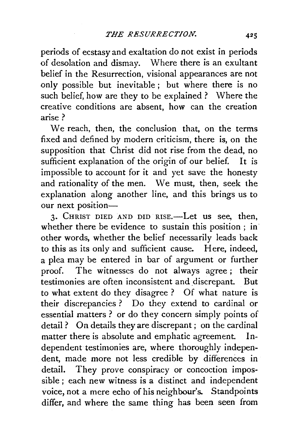periods of ecstasy and exaltation do not exist in periods of desolation and dismay. Where there is an exultant belief in the Resurrection, visional appearances are not only possible but inevitable ; but where there is no such belief, how are they to be explained ? Where the creative conditions are absent, how can the creation arise?

We reach, then, the conclusion that, on the terms fixed and defined by modern criticism, there is, on the supposition that Christ did not rise from the dead, no sufficient explanation of the origin of our belief. It is impossible to account for it and yet save the honesty and rationality of the men. We must, then, seek the explanation along another line, and this brings us to our next position-

3. CHRIST DIED AND DID RISE.-Let us see, then, whether there be evidence to sustain this position ; in other words, whether the belief necessarily leads back to this as its only and sufficient cause. Here, indeed, a plea may be entered in bar of argument or further proof. The witnesses do not always agree ; their testimonies are often inconsistent and \_discrepant. But to what extent do they disagree? Of what nature is their discrepancies ? Do they extend to cardinal or essential matters ? or do they concern simply points of detail? On details they are discrepant; on the cardinal matter there is absolute and emphatic agreement. Independent testimonies are, where thoroughly independent, made more not less credible by differences in detail. They prove conspiracy or concoction impossible ; each new witness is a distinct and independent voice, not a mere echo of his neighbour's. Standpoints differ, and where the same thing has been seen from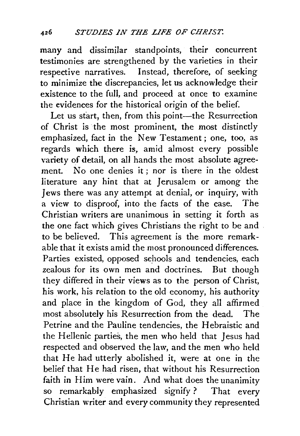many and dissimilar standpoints, their concurrent testimonies are strengthened by the varieties in their respective narratives. Instead, therefore, of seeking to minimize the discrepancies, let us acknowledge their existence to the full, and proceed at once to examine the evidences for the historical origin of the belief.

Let us start, then, from this point-the Resurrection of Christ is the most prominent, the most distinctly emphasized, fact in the New Testament ; one, too, as regards which there is, amid almost every possible variety of detail, on all hands the most absolute agreement. No one denies it ; nor is there in the oldest literature any hint that at Jerusalem or among the Jews there was any attempt at denial, or inquiry, with a view to disproof, into the facts of the case. The Christian writers are unanimous in setting it forth as the one fact which gives Christians the right to be and . to be believed. This agreement is the more remarkable that it exists amid the most pronounced differences. Parties existed, opposed schools and tendencies, each zealous for its own men and doctrines. But though they differed in their views as to the person of Christ, his work, his relation to the old economy, his authority and place in the kingdom of God, they all affirmed most absolutely his Resurrection from the dead. The Petrine and the Pauline tendencies, the Hebraistic and the Hellenic parties, the men who held that Jesus had respected and observed the law, and the men who held that He had utterly abolished it, were at one in the belief that He had risen, that without his Resurrection faith in Him were vain. And what does the unanimity so remarkably emphasized signify ? That every Christian writer and every community they represented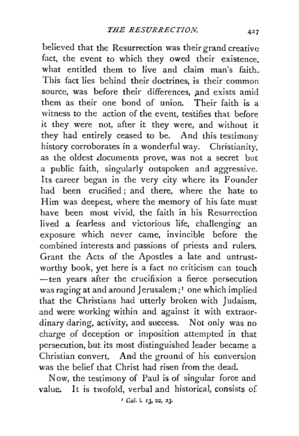believed that the Resurrection was their grand creative fact, the event to which they owed their existence, what entitled them to live and claim man's faith. This fact lies behind their doctrines, is their common source, was before their differences, and exists amid them as their one bond of union. Their faith is a witness to the action of the event, testifies that before it they were not, after it they were, and without it they had entirely ceased to be. And this testimony history corroborates in a wonderful way. Christianity, as the oldest documents prove, was not a secret but a public faith, singularly outspoken and aggressive. Its career began in the very city where its Founder had been crucified; and there, where the hate to Him was deepest, where the memory of his fate must have been most vivid, the faith in his Resurrection lived a fearless and victorious life, challenging an exposure which never came, invincible before the combined interests and passions of priests and rulers. Grant the Acts of the Apostles a late and untrust. worthy book, yet here is a fact no criticism can touch -ten years after the crucifixion a fierce persecution was raging at and around Jerusalem;<sup>1</sup> one which implied that the Christians had utterly broken with Judaism, and were working within and against it with extraor· dinary daring, activity, and success. Not only was no charge of deception or imposition attempted in that persecution, but its most distinguished leader became a Christian convert. And the ground of his conversion. was the belief that Christ had risen from the dead.

Now, the testimony of Paul is of singular force and value. It is twofold, verbal and historical, consists of

• Gal. i. 13, 2Z, 23.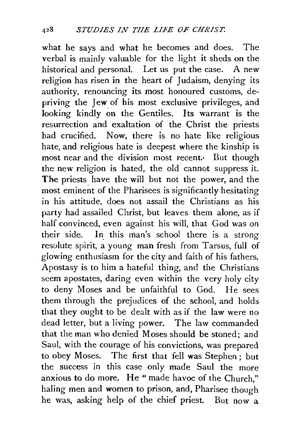what he says and what he becomes and does. The verbal is mainly valuable for the light it sheds on the historical and personal. Let us put the case. A new religion has risen in the heart of Judaism, denying its authority, renouncing its most honoured customs, depriving the Jew of his most exclusive privileges, and looking kindly on the Gentiles. Its warrant is the resurrection and exaltation of the Christ the priests had crucified. Now, there is no hate like religious hate, and religious hate is deepest where the kinship is most near and the division most recent. But though the new religion is hated, the old cannot suppress it. The priests have the will but not the power, and the most eminent of the Pharisees is significantly hesitating in his attitude, does not assail the Christians as his party had assailed Christ, but leaves them alone, as if half convinced, even against his will, that God was on their side. In this man's school there is a strong resolute spirit, a young man fresh from Tarsus, full of glowing enthusiasm for the city and faith of his fathers. Apostasy is to him a hateful thing, and the Christians seem apostates, daring even within the very holy city to deny Moses and be unfaithful to God. He sees them through the prejudices of the school, and holds that they ought to be dealt with as if the law were no dead letter, but a living power. The law commanded that the man who denied Moses should be stoned; and Saul, with the courage of his convictions, was prepared to obey Moses. The first that fell was Stephen ; but the success in this case only made Saul the more anxious to do more. He "made havoc of the Church," haling men and women to prison, and, Pharisee though he was, asking help of the chief priest. But now a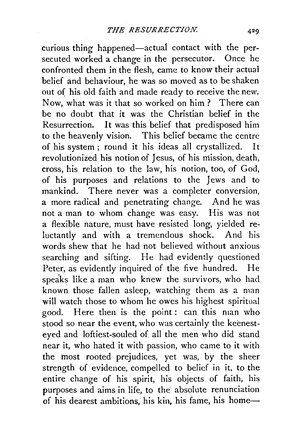curious thing happened-actual contact with the persecuted worked a change in the persecutor. Once he confronted them in the flesh, came to know their actual belief and behaviour, he was so moved as to be shaken out of his old faith and made ready to receive the new. Now, what was it that so worked on him ? There can be no doubt that it was the Christian belief in the Resurrection. It was this belief that predisposed him to the heavenly vision. This belief became the centre of his system; round it his ideas all crystallized. It revolutionized his notion of Jesus, of his mission, death, cross, his relation to the law, his notion, too, of God, of his purposes and relations to the Jews and to mankind. There never was a completer conversion, a more radical and penetrating change. And he was not a man to whom change was easy. His was not a flexible nature, must have resisted long, yielded reluctantly and with a tremendous shock. And his words shew that he had not believed without anxious searching and sifting. He had evidently questioned Peter, as evidently inquired of the five hundred. He speaks like a man who knew the survivors, who had known those fallen asleep, watching them as a man will watch those to whom he owes his highest spiritual good. Here then is the point : can this man who stood so near the event, who was certainly the keenesteyed and loftiest-souled of all the men who did stand near it, who hated it with passion, who came to it with the most rooted prejudices, yet was, by the sheer strength of evidence, compelled to belief in it, to the entire change of his spirit, his objects of faith, his purposes and aims in life, to the absolute renunciation of his dearest ambitions, his kin, his fame, his home-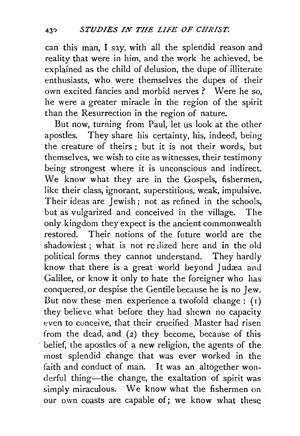can this man, I say, with all the splendid reason and reality that were in him, and the work he achieved, be explained as the child of delusion, the dupe of illiterate enthusiasts, who were themselves the dupes of their own excited fancies and morbid nerves? Were he so, he were a greater miracle in the region of the spirit than the Resurrection in the region of nature.

But now, turning from Paul, let us look at the other apostles. They share his certainty, his, indeed, being the creature of theirs ; but it is not their words, but themselves, we wish to cite as witnesses, their testimony being strongest where it is unconscious and indirect. We know what they are in the Gospels, fishermen, like their class, ignorant, superstitious, weak, impulsive. Their ideas are Jewish: not as refined in the schools, but as vulgarized and conceived in the village. The only kingdom they expect is the ancient commonwealth restored. Their notions of the future world are the shadowiest: what is not realized here and in the old political forms they cannot understand. They hardly know that there is a great world beyond Judæa and Galilee, or know it only to hate the foreigner who has conquered, or despise the Gentile because he is no Jew. But now these men experience a twofold change :  $(i)$ they believe what before they had shewn no capacity even to conceive, that their crucified Master had risen from the dead, and  $(2)$  they become, because of this belief, the apostles of a new religion, the agents of the most splendid change that was ever worked in the faith and conduct of man. It was an altogether wonderful thing-the change, the exaltation of spirit was simply miraculous. We know what the fishermen on our own coasts are capable of; we know what these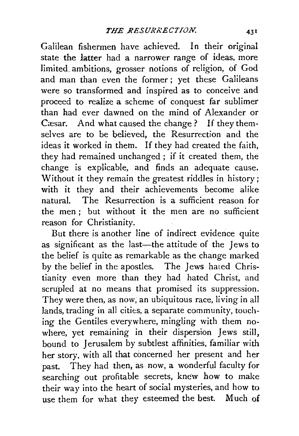Galilean fishermen have achieved. In their original state the latter had a narrower range of ideas, more limited. ambitions, grosser notions of religion, of God and man than even the former ; yet these Galileans were so transformed and inspired as to conceive and proceed to realize a scheme of conquest far sublimer than had ever dawned on the mind of Alexander or Casar. And what caused the change ? If they themselves are to be believed, the Resurrection and the ideas it worked in them. If they had created the faith, they had remained unchanged ; if it created them, the change is explicable, and finds an adequate cause. Without it they remain the greatest riddles in history; with it they and their achievements become alike natural. The Resurrection is a sufficient reason for the men ; but without it the men are no sufficient reason for Christianity.

But there is another line of indirect evidence quite as significant as the last-the attitude of the Jews to the belief is quite as remarkable as the change marked by the belief in the apostles. The Jews hated Christianity even more than they had hated Christ, and scrupled at no means that promised its suppression. They were then, as now, an ubiquitous race, living in all lands, trading in all cities, a separate community, touching the Gentiles everywhere, mingling with them nowhere, yet remaining in their dispersion Jews still, bound to Jerusalem by subtlest affinities, familiar with her story. with all that concerned her present and her past. They had then, as now, a wonderful faculty for searching out profitable secrets, knew how to make their way into the heart of social mysteries, and how to use them for what they esteemed the best. Much of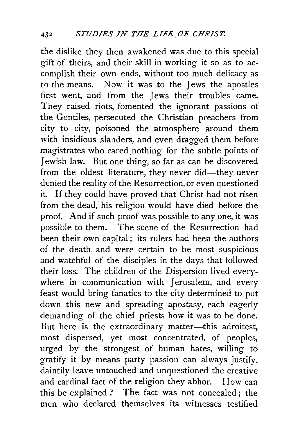the dislike they .then awakened was due to this special gift of theirs, and their skill in working it so as to accomplish their own ends, without too much delicacy as to the means. Now it was to the Jews the apostles first went, and from the Jews their troubles came. They raised riots, fomented the ignorant passions of the Gentiles, persecuted the Christian preachers from city to city, poisoned the atmosphere around them with insidious slanders, and even dragged them before magistrates who cared nothing for the subtle points of Jewish law. But one thing, so far as can be discovered from the oldest literature, they never did-they never denied the reality of the Resurrection, or even questioned it. If they could have proved that Christ had not risen from the dead, his religion would have died before the proof. And if such proof was. possible to any one, it was possible to them. The scene of the Resurrection had been their own capital ; its rulers had been the authors of the death, and were certain to be most suspicious and watchful of the disciples in the days that followed their loss. The children of the Dispersion lived everywhere in communication with Jerusalem, and every feast would bring fanatics to the city determined to put down this new and spreading apostasy, each eagerly demanding of the chief priests how it was to be done. But here is the extraordinary matter-this adroitest, most dispersed, yet most concentrated, of peoples, urged by the strongest of human hates, willing to gratify it by means party passion can always justify, daintily leave untouched and unquestioned the creative and cardinal fact of the religion they abhor. How can this be explained ? The fact was not concealed ; the men who declared themselves its witnesses testified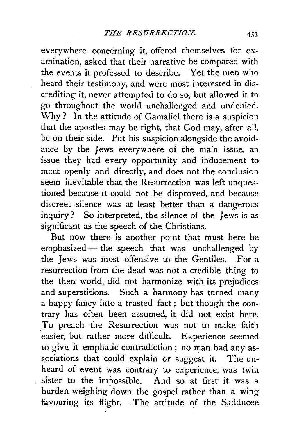everywhere concerning it, offered themselves for examination, asked that their narrative be compared with the events it professed *to* describe. Yet the men who heard their testimony, and were most interested in discrediting it, never attempted to do so, but allowed it to go throughout the world unchallenged and undenied. Why ? In the attitude of Gamaliel there is a suspicion that the apostles may be right, that God may, after all, be on their side. Put his suspicion alongside the avoidance by the Jews everywhere of the main issue, an issue they had every opportunity and inducement to meet openly and directly, and does not the conclusion seem inevitable that the Resurrection was left unquestioned because it could not be disproved, and because discreet silence was at least better than a dangerous inquiry ? So interpreted, the silence of the Jews is as significant as the speech of the Christians.

But now there is another point that must here be emphasized  $-$  the speech that was unchallenged by the Jews was most offensive to the Gentiles. For a resurrection from the dead was not a credible thing to the then world, did not harmonize with its prejudices and superstitions. Such a harmony has turned many a happy fancy into a trusted fact; but though the contrary has often been assumed, it did not exist here. To preach the Resurrection was not to make faith easier, but rather more difficult. Experience seemed to give it emphatic contradiction ; no man had any associations that could explain or suggest it. The unheard of event was contrary to experience, was twin sister to the impossible. And so at first it was a burden weighing down the gospel rather than a wing favouring its flight. The attitude of the Sadducee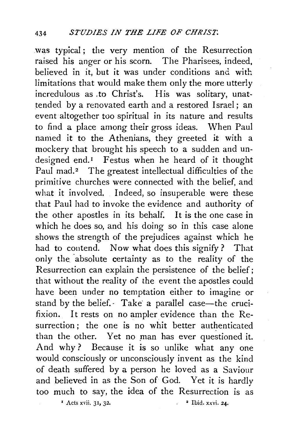was typical ; the very mention of the Resurrection raised his anger or his scorn. The Pharisees, indeed, believed in it, but it was under conditions and with limitations that would make them only the more utterly incredulous as .to Christ's. His was solitary, unattended by a renovated earth and a restored Israel; an event altogether too spiritual in its nature and results to find a place among their gross ideas. When Paul named it to the Athenians, they greeted it with a mockery that brought his speech to a sudden and undesigned end.<sup>1</sup> Festus when he heard of it thought Paul mad.<sup>2</sup> The greatest intellectual difficulties of the primitive churches were connected with the belief, and what it involved. Indeed, so insuperable were these that Paul had to invoke the evidence and authority of the other apostles in its behalf. It is the one case in which he does so, and his doing so in this case alone shows the strength of the prejudices against which he had to contend. Now what does this signify? That only the absolute certainty as to the reality of the Resurrection can explain the persistence of the belief; that without the reality of the event the apostles could have been under no temptation either to imagine or stand by the belief. Take a parallel case-the crucifixion. It rests on no ampler evidence than the Resurrection; the one is no whit better authenticated than the other. Yet no man has ever questioned it. And why? Because it is so unlike what any one would consciously or unconsciously invent as the kind of death suffered by a person he loved as a Saviour and believed in as the Son of God. Yet it is hardly too much to say, the idea of the Resurrection is as

 $\frac{1}{2}$  Acts xvii. 31, 32.  $\frac{1}{2}$  Ibid. xxvi. 24.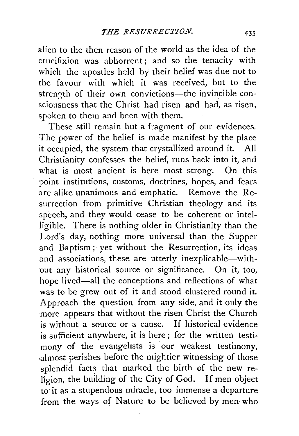alien to the then reason of the world as the idea of the crucifixion was abhorrent ; and so the tenacity with which the apostles held by their belief was due not to the favour with which it was received, but to the strength of their own convictions-the invincible consciousness that the Christ had risen and had, as risen, spoken to them and been with them.

These still remain but a fragment of our evidences. The power of the belief is made manifest by the place it occupied, the system that crystallized around it. All Christianity confesses the belief, runs back into it, and what is most ancient is here most strong. On this point institutions, customs, doctrines, hopes, and fears are alike unanimous and emphatic. Remove the Resurrection from primitive Christian theology and its speech, and they would cease to be coherent or intelligible. There is nothing older in Christianity than the Lord's day, nothing more universal than the Supper and Baptism ; yet without the Resurrection, its ideas and associations, these are utterly inexplicable-without any historical source or significance. On it, too, hope lived-all the conceptions and reflections of what was to be grew out of it and stood clustered round it. Approach the question from any side, and it only the more appears that without the risen Christ the Church is without a source or a cause. If historical evidence is sufficient anywhere, it is here; for the written testimony of the evangelists is our weakest testimony, almost perishes before the mightier witnessing of those splendid facts that marked the birth of the new religion, the building of the City of God. If men object to it as a stupendous miracle, too immense a departure from the ways of Nature to be believed by men who